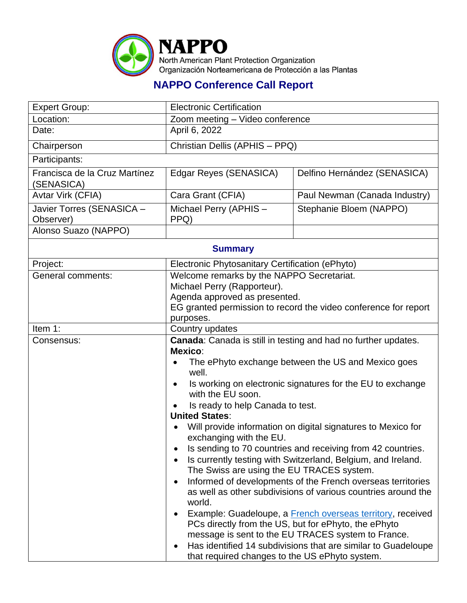

## **NAPPO Conference Call Report**

| <b>Expert Group:</b>                        | <b>Electronic Certification</b>                                                                                                                                                                                                                                                                                                                                                                                                                                                                                                                                                                                                                                                                                                                                                                                                                                                                                                                                                                                       |                               |  |  |
|---------------------------------------------|-----------------------------------------------------------------------------------------------------------------------------------------------------------------------------------------------------------------------------------------------------------------------------------------------------------------------------------------------------------------------------------------------------------------------------------------------------------------------------------------------------------------------------------------------------------------------------------------------------------------------------------------------------------------------------------------------------------------------------------------------------------------------------------------------------------------------------------------------------------------------------------------------------------------------------------------------------------------------------------------------------------------------|-------------------------------|--|--|
| Location:                                   | Zoom meeting - Video conference                                                                                                                                                                                                                                                                                                                                                                                                                                                                                                                                                                                                                                                                                                                                                                                                                                                                                                                                                                                       |                               |  |  |
| Date:                                       | April 6, 2022                                                                                                                                                                                                                                                                                                                                                                                                                                                                                                                                                                                                                                                                                                                                                                                                                                                                                                                                                                                                         |                               |  |  |
| Chairperson                                 | Christian Dellis (APHIS - PPQ)                                                                                                                                                                                                                                                                                                                                                                                                                                                                                                                                                                                                                                                                                                                                                                                                                                                                                                                                                                                        |                               |  |  |
| Participants:                               |                                                                                                                                                                                                                                                                                                                                                                                                                                                                                                                                                                                                                                                                                                                                                                                                                                                                                                                                                                                                                       |                               |  |  |
| Francisca de la Cruz Martínez<br>(SENASICA) | Edgar Reyes (SENASICA)                                                                                                                                                                                                                                                                                                                                                                                                                                                                                                                                                                                                                                                                                                                                                                                                                                                                                                                                                                                                | Delfino Hernández (SENASICA)  |  |  |
| Avtar Virk (CFIA)                           | Cara Grant (CFIA)                                                                                                                                                                                                                                                                                                                                                                                                                                                                                                                                                                                                                                                                                                                                                                                                                                                                                                                                                                                                     | Paul Newman (Canada Industry) |  |  |
| Javier Torres (SENASICA -<br>Observer)      | Michael Perry (APHIS -<br>PPQ)                                                                                                                                                                                                                                                                                                                                                                                                                                                                                                                                                                                                                                                                                                                                                                                                                                                                                                                                                                                        | Stephanie Bloem (NAPPO)       |  |  |
| Alonso Suazo (NAPPO)                        |                                                                                                                                                                                                                                                                                                                                                                                                                                                                                                                                                                                                                                                                                                                                                                                                                                                                                                                                                                                                                       |                               |  |  |
| <b>Summary</b>                              |                                                                                                                                                                                                                                                                                                                                                                                                                                                                                                                                                                                                                                                                                                                                                                                                                                                                                                                                                                                                                       |                               |  |  |
| Project:                                    | Electronic Phytosanitary Certification (ePhyto)                                                                                                                                                                                                                                                                                                                                                                                                                                                                                                                                                                                                                                                                                                                                                                                                                                                                                                                                                                       |                               |  |  |
| General comments:                           | Welcome remarks by the NAPPO Secretariat.<br>Michael Perry (Rapporteur).<br>Agenda approved as presented.<br>EG granted permission to record the video conference for report<br>purposes.                                                                                                                                                                                                                                                                                                                                                                                                                                                                                                                                                                                                                                                                                                                                                                                                                             |                               |  |  |
| Item 1:                                     | Country updates                                                                                                                                                                                                                                                                                                                                                                                                                                                                                                                                                                                                                                                                                                                                                                                                                                                                                                                                                                                                       |                               |  |  |
| Consensus:                                  | Canada: Canada is still in testing and had no further updates.<br>Mexico:<br>The ePhyto exchange between the US and Mexico goes<br>well.<br>Is working on electronic signatures for the EU to exchange<br>$\bullet$<br>with the EU soon.<br>Is ready to help Canada to test.<br><b>United States:</b><br>Will provide information on digital signatures to Mexico for<br>exchanging with the EU.<br>Is sending to 70 countries and receiving from 42 countries.<br>Is currently testing with Switzerland, Belgium, and Ireland.<br>The Swiss are using the EU TRACES system.<br>Informed of developments of the French overseas territories<br>as well as other subdivisions of various countries around the<br>world.<br>Example: Guadeloupe, a French overseas territory, received<br>PCs directly from the US, but for ePhyto, the ePhyto<br>message is sent to the EU TRACES system to France.<br>Has identified 14 subdivisions that are similar to Guadeloupe<br>that required changes to the US ePhyto system. |                               |  |  |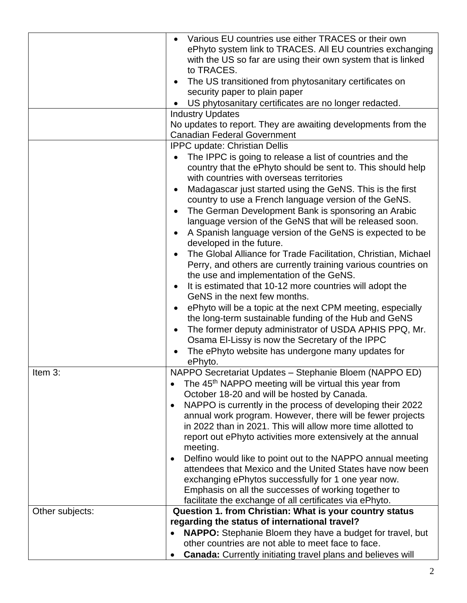|                 | Various EU countries use either TRACES or their own<br>ePhyto system link to TRACES. All EU countries exchanging<br>with the US so far are using their own system that is linked<br>to TRACES.<br>The US transitioned from phytosanitary certificates on<br>security paper to plain paper<br>US phytosanitary certificates are no longer redacted. |  |  |
|-----------------|----------------------------------------------------------------------------------------------------------------------------------------------------------------------------------------------------------------------------------------------------------------------------------------------------------------------------------------------------|--|--|
|                 | <b>Industry Updates</b>                                                                                                                                                                                                                                                                                                                            |  |  |
|                 | No updates to report. They are awaiting developments from the<br><b>Canadian Federal Government</b>                                                                                                                                                                                                                                                |  |  |
|                 | <b>IPPC update: Christian Dellis</b>                                                                                                                                                                                                                                                                                                               |  |  |
|                 | The IPPC is going to release a list of countries and the<br>country that the ePhyto should be sent to. This should help<br>with countries with overseas territories<br>Madagascar just started using the GeNS. This is the first<br>country to use a French language version of the GeNS.<br>The German Development Bank is sponsoring an Arabic   |  |  |
|                 | language version of the GeNS that will be released soon.<br>A Spanish language version of the GeNS is expected to be<br>developed in the future.                                                                                                                                                                                                   |  |  |
|                 | The Global Alliance for Trade Facilitation, Christian, Michael<br>Perry, and others are currently training various countries on<br>the use and implementation of the GeNS.<br>It is estimated that 10-12 more countries will adopt the<br>GeNS in the next few months.                                                                             |  |  |
|                 | ePhyto will be a topic at the next CPM meeting, especially<br>the long-term sustainable funding of the Hub and GeNS<br>The former deputy administrator of USDA APHIS PPQ, Mr.<br>$\bullet$<br>Osama El-Lissy is now the Secretary of the IPPC<br>The ePhyto website has undergone many updates for<br>ePhyto.                                      |  |  |
| Item 3:         | NAPPO Secretariat Updates - Stephanie Bloem (NAPPO ED)                                                                                                                                                                                                                                                                                             |  |  |
|                 | The 45 <sup>th</sup> NAPPO meeting will be virtual this year from<br>$\bullet$                                                                                                                                                                                                                                                                     |  |  |
|                 | October 18-20 and will be hosted by Canada.                                                                                                                                                                                                                                                                                                        |  |  |
|                 | NAPPO is currently in the process of developing their 2022<br>٠                                                                                                                                                                                                                                                                                    |  |  |
|                 | annual work program. However, there will be fewer projects<br>in 2022 than in 2021. This will allow more time allotted to<br>report out ePhyto activities more extensively at the annual                                                                                                                                                           |  |  |
|                 | meeting.                                                                                                                                                                                                                                                                                                                                           |  |  |
|                 | Delfino would like to point out to the NAPPO annual meeting<br>٠                                                                                                                                                                                                                                                                                   |  |  |
|                 | attendees that Mexico and the United States have now been                                                                                                                                                                                                                                                                                          |  |  |
|                 | exchanging ePhytos successfully for 1 one year now.                                                                                                                                                                                                                                                                                                |  |  |
|                 | Emphasis on all the successes of working together to<br>facilitate the exchange of all certificates via ePhyto.                                                                                                                                                                                                                                    |  |  |
| Other subjects: | Question 1. from Christian: What is your country status                                                                                                                                                                                                                                                                                            |  |  |
|                 | regarding the status of international travel?                                                                                                                                                                                                                                                                                                      |  |  |
|                 | <b>NAPPO:</b> Stephanie Bloem they have a budget for travel, but                                                                                                                                                                                                                                                                                   |  |  |
|                 | other countries are not able to meet face to face.                                                                                                                                                                                                                                                                                                 |  |  |
|                 | <b>Canada:</b> Currently initiating travel plans and believes will                                                                                                                                                                                                                                                                                 |  |  |